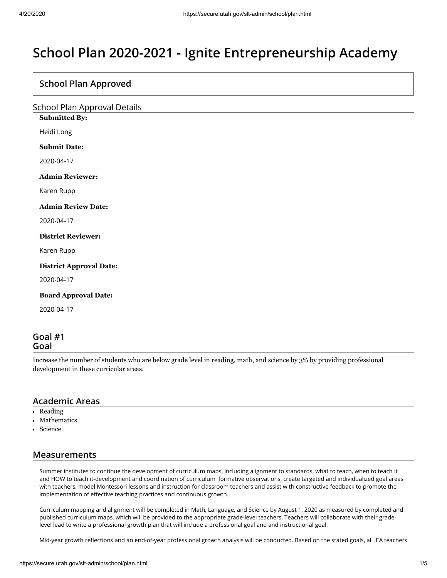# **School Plan 2020-2021 - Ignite Entrepreneurship Academy**

## **School Plan Approved**

|  | <b>School Plan Approval Details</b> |  |
|--|-------------------------------------|--|
|  |                                     |  |

**Submitted By:**

Heidi Long

**Submit Date:**

2020-04-17

**Admin Reviewer:**

Karen Rupp

**Admin Review Date:**

2020-04-17

**District Reviewer:**

Karen Rupp

**District Approval Date:**

2020-04-17

**Board Approval Date:**

2020-04-17

#### **Goal #1 Goal**

Increase the number of students who are below grade level in reading, math, and science by 3% by providing professional development in these curricular areas.

#### **Academic Areas**

- í. Reading
- Mathematics í.
- Science

# **Measurements**

Summer institutes to continue the development of curriculum maps, including alignment to standards, what to teach, when to teach it and HOW to teach it-development and coordination of curriculum formative observations, create targeted and individualized goal areas with teachers, model Montessori lessons and instruction for classroom teachers and assist with constructive feedback to promote the implementation of effective teaching practices and continuous growth.

Curriculum mapping and alignment will be completed in Math, Language, and Science by August 1, 2020 as measured by completed and published curriculum maps, which will be provided to the appropriate grade-level teachers. Teachers will collaborate with their gradelevel lead to write a professional growth plan that will include a professional goal and and instructional goal.

Mid-year growth reflections and an end-of-year professional growth analysis will be conducted. Based on the stated goals, all IEA teachers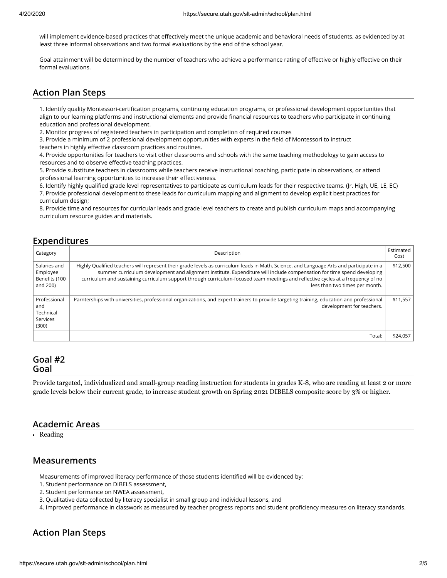will implement evidence-based practices that effectively meet the unique academic and behavioral needs of students, as evidenced by at least three informal observations and two formal evaluations by the end of the school year.

Goal attainment will be determined by the number of teachers who achieve a performance rating of effective or highly effective on their formal evaluations.

# **Action Plan Steps**

1. Identify quality Montessori-certification programs, continuing education programs, or professional development opportunities that align to our learning platforms and instructional elements and provide financial resources to teachers who participate in continuing education and professional development.

2. Monitor progress of registered teachers in participation and completion of required courses

3. Provide a minimum of 2 professional development opportunities with experts in the field of Montessori to instruct

teachers in highly effective classroom practices and routines.

4. Provide opportunities for teachers to visit other classrooms and schools with the same teaching methodology to gain access to resources and to observe effective teaching practices.

5. Provide substitute teachers in classrooms while teachers receive instructional coaching, participate in observations, or attend professional learning opportunities to increase their effectiveness.

6. Identify highly qualified grade level representatives to participate as curriculum leads for their respective teams. (Jr. High, UE, LE, EC) 7. Provide professional development to these leads for curriculum mapping and alignment to develop explicit best practices for curriculum design;

8. Provide time and resources for curricular leads and grade level teachers to create and publish curriculum maps and accompanying curriculum resource guides and materials.

#### **Expenditures**

| Category                                              | Description                                                                                                                                                                                                                                                                                                                                                                                                                              | Estimated<br>Cost |
|-------------------------------------------------------|------------------------------------------------------------------------------------------------------------------------------------------------------------------------------------------------------------------------------------------------------------------------------------------------------------------------------------------------------------------------------------------------------------------------------------------|-------------------|
| Salaries and<br>Employee<br>Benefits (100<br>and 200) | Highly Qualified teachers will represent their grade levels as curriculum leads in Math, Science, and Language Arts and participate in a<br>summer curriculum development and alignment institute. Expenditure will include compensation for time spend developing<br>curriculum and sustaining curriculum support through curriculum-focused team meetings and reflective cycles at a frequency of no<br>less than two times per month. | \$12,500          |
| Professional<br>and<br>Technical<br>Services<br>(300) | Parnterships with universities, professional organizations, and expert trainers to provide targeting training, education and professional<br>development for teachers.                                                                                                                                                                                                                                                                   | \$11,557          |
|                                                       | Total:                                                                                                                                                                                                                                                                                                                                                                                                                                   | \$24,057          |

#### **Goal #2 Goal**

Provide targeted, individualized and small-group reading instruction for students in grades K-8, who are reading at least 2 or more grade levels below their current grade, to increase student growth on Spring 2021 DIBELS composite score by 3% or higher.

#### **Academic Areas**

Reading

#### **Measurements**

Measurements of improved literacy performance of those students identified will be evidenced by:

- 1. Student performance on DIBELS assessment,
- 2. Student performance on NWEA assessment,
- 3. Qualitative data collected by literacy specialist in small group and individual lessons, and

4. Improved performance in classwork as measured by teacher progress reports and student proficiency measures on literacy standards.

# **Action Plan Steps**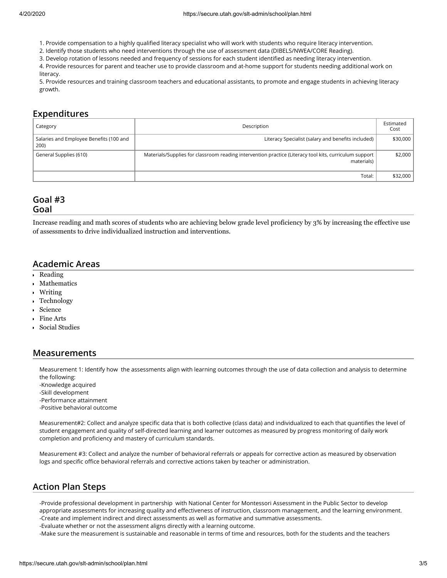- 1. Provide compensation to a highly qualified literacy specialist who will work with students who require literacy intervention.
- 2. Identify those students who need interventions through the use of assessment data (DIBELS/NWEA/CORE Reading).
- 3. Develop rotation of lessons needed and frequency of sessions for each student identified as needing literacy intervention.

4. Provide resources for parent and teacher use to provide classroom and at-home support for students needing additional work on literacy.

5. Provide resources and training classroom teachers and educational assistants, to promote and engage students in achieving literacy growth.

#### **Expenditures**

| Category                                        | Description                                                                                                          |          |
|-------------------------------------------------|----------------------------------------------------------------------------------------------------------------------|----------|
| Salaries and Employee Benefits (100 and<br>200) | Literacy Specialist (salary and benefits included)                                                                   | \$30,000 |
| General Supplies (610)                          | Materials/Supplies for classroom reading intervention practice (Literacy tool kits, curriculum support<br>materials) | \$2,000  |
|                                                 | Total:                                                                                                               | \$32,000 |

# **Goal #3**

**Goal**

Increase reading and math scores of students who are achieving below grade level proficiency by 3% by increasing the effective use of assessments to drive individualized instruction and interventions.

#### **Academic Areas**

- Reading  $\mathbf{r}$
- Mathematics
- Writing k.
- Technology  $\mathbf{r}$
- Science
- Fine Arts k.
- Social Studies

#### **Measurements**

Measurement 1: Identify how the assessments align with learning outcomes through the use of data collection and analysis to determine the following:

-Knowledge acquired -Skill development

- -Performance attainment
- -Positive behavioral outcome

Measurement#2: Collect and analyze specific data that is both collective (class data) and individualized to each that quantifies the level of student engagement and quality of self-directed learning and learner outcomes as measured by progress monitoring of daily work completion and proficiency and mastery of curriculum standards.

Measurement #3: Collect and analyze the number of behavioral referrals or appeals for corrective action as measured by observation logs and specific office behavioral referrals and corrective actions taken by teacher or administration.

# **Action Plan Steps**

-Provide professional development in partnership with National Center for Montessori Assessment in the Public Sector to develop appropriate assessments for increasing quality and effectiveness of instruction, classroom management, and the learning environment. -Create and implement indirect and direct assessments as well as formative and summative assessments.

-Evaluate whether or not the assessment aligns directly with a learning outcome.

-Make sure the measurement is sustainable and reasonable in terms of time and resources, both for the students and the teachers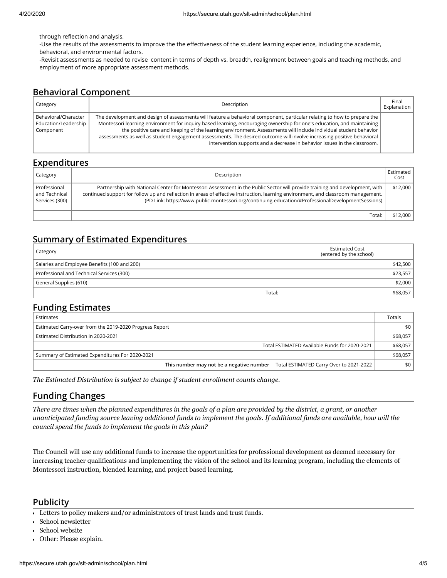through reflection and analysis.

-Use the results of the assessments to improve the the effectiveness of the student learning experience, including the academic, behavioral, and environmental factors.

-Revisit assessments as needed to revise content in terms of depth vs. breadth, realignment between goals and teaching methods, and employment of more appropriate assessment methods.

# **Behavioral Component**

| Category                                                  | Description                                                                                                                                                                                                                                                                                                                                                                                                                                                                                                                                                                  | Final<br>Explanation |
|-----------------------------------------------------------|------------------------------------------------------------------------------------------------------------------------------------------------------------------------------------------------------------------------------------------------------------------------------------------------------------------------------------------------------------------------------------------------------------------------------------------------------------------------------------------------------------------------------------------------------------------------------|----------------------|
| Behavioral/Character<br>Education/Leadership<br>Component | The development and design of assessments will feature a behavioral component, particular relating to how to prepare the<br>Montessori learning environment for inquiry-based learning, encouraging ownership for one's education, and maintaining<br>the positive care and keeping of the learning environment. Assessments will include individual student behavior<br>assessments as well as student engagement assessments. The desired outcome will involve increasing positive behavioral<br>intervention supports and a decrease in behavior issues in the classroom. |                      |

### **Expenditures**

| Category                                        | Description                                                                                                                                                                                                                                                                                                                                                            | Estimated<br>Cost |
|-------------------------------------------------|------------------------------------------------------------------------------------------------------------------------------------------------------------------------------------------------------------------------------------------------------------------------------------------------------------------------------------------------------------------------|-------------------|
| Professional<br>and Technical<br>Services (300) | Partnership with National Center for Montessori Assessment in the Public Sector will provide training and development, with<br>continued support for follow up and reflection in areas of effective instruction, learning environment, and classroom management.<br>(PD Link: https://www.public-montessori.org/continuing-education/#ProfessionalDevelopmentSessions) | \$12,000          |
|                                                 | Total:                                                                                                                                                                                                                                                                                                                                                                 | \$12.000          |

# **Summary of Estimated Expenditures**

| Category                                     | <b>Estimated Cost</b><br>(entered by the school) |  |
|----------------------------------------------|--------------------------------------------------|--|
| Salaries and Employee Benefits (100 and 200) | \$42,500                                         |  |
| Professional and Technical Services (300)    | \$23,557                                         |  |
| General Supplies (610)                       | \$2,000                                          |  |
| Total:                                       | \$68,057                                         |  |

### **Funding Estimates**

| Estimates                                                                           | Totals   |
|-------------------------------------------------------------------------------------|----------|
| Estimated Carry-over from the 2019-2020 Progress Report                             | \$0      |
| Estimated Distribution in 2020-2021                                                 | \$68,057 |
| Total ESTIMATED Available Funds for 2020-2021                                       | \$68,057 |
| Summary of Estimated Expenditures For 2020-2021                                     | \$68,057 |
| This number may not be a negative number<br>Total ESTIMATED Carry Over to 2021-2022 | \$0      |

*The Estimated Distribution is subject to change if student enrollment counts change.*

# **Funding Changes**

*There are times when the planned expenditures in the goals of a plan are provided by the district, a grant, or another unanticipated funding source leaving additional funds to implement the goals. If additional funds are available, how will the council spend the funds to implement the goals in this plan?*

The Council will use any additional funds to increase the opportunities for professional development as deemed necessary for increasing teacher qualifications and implementing the vision of the school and its learning program, including the elements of Montessori instruction, blended learning, and project based learning.

#### **Publicity**

Letters to policy makers and/or administrators of trust lands and trust funds.

School newsletter

- School website
- Other: Please explain.